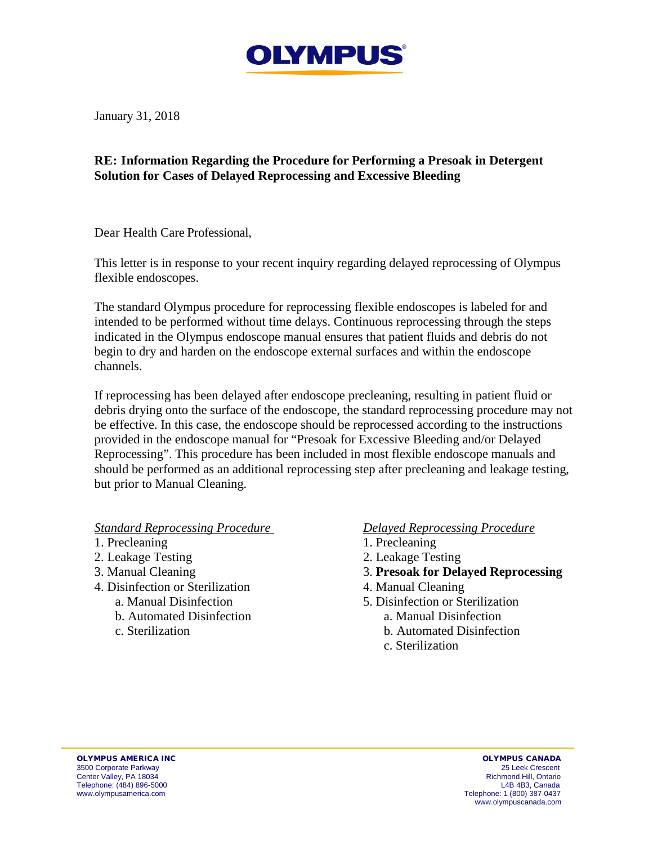

January 31, 2018

## **RE: Information Regarding the Procedure for Performing a Presoak in Detergent Solution for Cases of Delayed Reprocessing and Excessive Bleeding**

Dear Health Care Professional,

This letter is in response to your recent inquiry regarding delayed reprocessing of Olympus flexible endoscopes.

The standard Olympus procedure for reprocessing flexible endoscopes is labeled for and intended to be performed without time delays. Continuous reprocessing through the steps indicated in the Olympus endoscope manual ensures that patient fluids and debris do not begin to dry and harden on the endoscope external surfaces and within the endoscope channels.

If reprocessing has been delayed after endoscope precleaning, resulting in patient fluid or debris drying onto the surface of the endoscope, the standard reprocessing procedure may not be effective. In this case, the endoscope should be reprocessed according to the instructions provided in the endoscope manual for "Presoak for Excessive Bleeding and/or Delayed Reprocessing". This procedure has been included in most flexible endoscope manuals and should be performed as an additional reprocessing step after precleaning and leakage testing, but prior to Manual Cleaning.

*Standard Reprocessing Procedure* 

- 1. Precleaning
- 2. Leakage Testing
- 3. Manual Cleaning
- 4. Disinfection or Sterilization
	- a. Manual Disinfection
	- b. Automated Disinfection
	- c. Sterilization

## *Delayed Reprocessing Procedure*

- 1. Precleaning
- 2. Leakage Testing
- 3. **Presoak for Delayed Reprocessing**
- 4. Manual Cleaning
- 5. Disinfection or Sterilization
	- a. Manual Disinfection
	- b. Automated Disinfection
	- c. Sterilization

OLYMPUS AMERICA INC OLYMPUS CANADA 3500 Corporate Parkway 25 Leek Crescent Center Valley, PA 18034 Richmond Hill, Ontario Telephone: (484) 896-5000<br>www.olympusamerica.com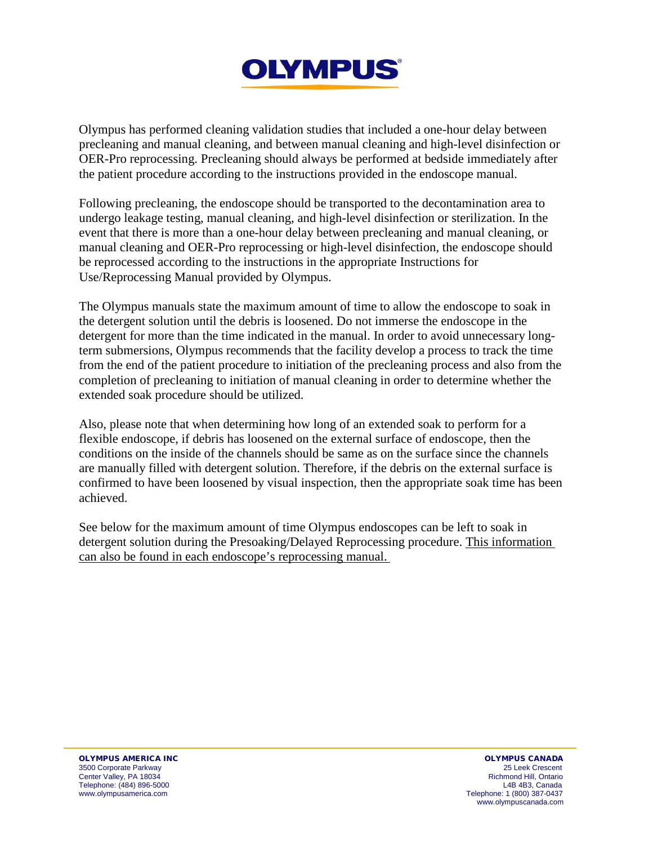

Olympus has performed cleaning validation studies that included a one-hour delay between precleaning and manual cleaning, and between manual cleaning and high-level disinfection or OER-Pro reprocessing. Precleaning should always be performed at bedside immediately after the patient procedure according to the instructions provided in the endoscope manual.

Following precleaning, the endoscope should be transported to the decontamination area to undergo leakage testing, manual cleaning, and high-level disinfection or sterilization. In the event that there is more than a one-hour delay between precleaning and manual cleaning, or manual cleaning and OER-Pro reprocessing or high-level disinfection, the endoscope should be reprocessed according to the instructions in the appropriate Instructions for Use/Reprocessing Manual provided by Olympus.

The Olympus manuals state the maximum amount of time to allow the endoscope to soak in the detergent solution until the debris is loosened. Do not immerse the endoscope in the detergent for more than the time indicated in the manual. In order to avoid unnecessary longterm submersions, Olympus recommends that the facility develop a process to track the time from the end of the patient procedure to initiation of the precleaning process and also from the completion of precleaning to initiation of manual cleaning in order to determine whether the extended soak procedure should be utilized.

Also, please note that when determining how long of an extended soak to perform for a flexible endoscope, if debris has loosened on the external surface of endoscope, then the conditions on the inside of the channels should be same as on the surface since the channels are manually filled with detergent solution. Therefore, if the debris on the external surface is confirmed to have been loosened by visual inspection, then the appropriate soak time has been achieved.

See below for the maximum amount of time Olympus endoscopes can be left to soak in detergent solution during the Presoaking/Delayed Reprocessing procedure. This information can also be found in each endoscope's reprocessing manual.

OLYMPUS AMERICA INC OLYMPUS CANADA 3500 Corporate Parkway 25 Leek Crescent Center Valley, PA 18034 Richmond Hill, Ontario Telephone: (484) 896-5000<br>www.olympusamerica.com

Telephone: 1 (800) 387-0437 www.olympuscanada.com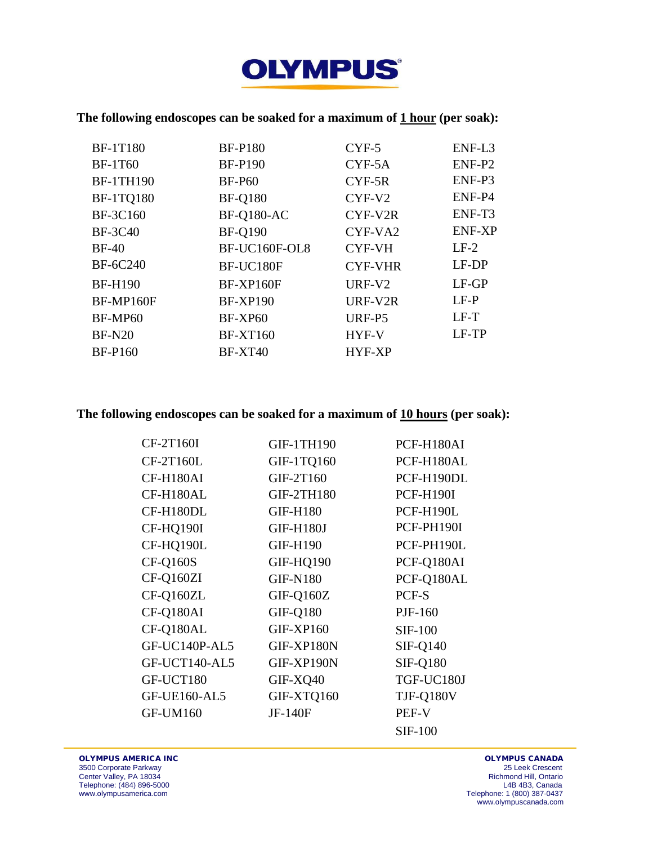

# **The following endoscopes can be soaked for a maximum of 1 hour (per soak):**

| <b>BF-1T180</b>  | <b>BF-P180</b>    | $CYF-5$              | ENF-L3        |
|------------------|-------------------|----------------------|---------------|
| <b>BF-1T60</b>   | <b>BF-P190</b>    | $CYF-5A$             | ENF-P2        |
| <b>BF-1TH190</b> | <b>BF-P60</b>     | $CYF-5R$             | ENF-P3        |
| <b>BF-1TQ180</b> | <b>BF-Q180</b>    | $CYF-V2$             | ENF-P4        |
| <b>BF-3C160</b>  | <b>BF-Q180-AC</b> | CYF-V <sub>2</sub> R | ENF-T3        |
| <b>BF-3C40</b>   | <b>BF-Q190</b>    | CYF-VA2              | <b>ENF-XP</b> |
| $BF-40$          | BF-UC160F-OL8     | <b>CYF-VH</b>        | $LF-2$        |
| <b>BF-6C240</b>  | BF-UC180F         | <b>CYF-VHR</b>       | LF-DP         |
| <b>BF-H190</b>   | <b>BF-XP160F</b>  | URF-V <sub>2</sub>   | $LF-GP$       |
| BF-MP160F        | <b>BF-XP190</b>   | URF-V2R              | $LF-P$        |
| BF-MP60          | BF-XP60           | URF-P5               | $LF-T$        |
| <b>BF-N20</b>    | <b>BF-XT160</b>   | HYF-V                | LF-TP         |
| <b>BF-P160</b>   | <b>BF-XT40</b>    | HYF-XP               |               |

#### **The following endoscopes can be soaked for a maximum of 10 hours (per soak):**

| CF-2T160I           | <b>GIF-1TH190</b> | PCF-H180AI       |
|---------------------|-------------------|------------------|
| CF-2T160L           | GIF-1TQ160        | PCF-H180AL       |
| CF-H180AI           | GIF-2T160         | PCF-H190DL       |
| CF-H180AL           | <b>GIF-2TH180</b> | <b>PCF-H190I</b> |
| CF-H180DL           | <b>GIF-H180</b>   | PCF-H190L        |
| CF-HQ190I           | <b>GIF-H180J</b>  | PCF-PH190I       |
| CF-HQ190L           | <b>GIF-H190</b>   | PCF-PH190L       |
| <b>CF-Q160S</b>     | GIF-HQ190         | PCF-Q180AI       |
| CF-Q160ZI           | <b>GIF-N180</b>   | PCF-Q180AL       |
| CF-Q160ZL           | GIF-Q160Z         | PCF-S            |
| CF-Q180AI           | <b>GIF-Q180</b>   | PJF-160          |
| CF-Q180AL           | <b>GIF-XP160</b>  | <b>SIF-100</b>   |
| GF-UC140P-AL5       | GIF-XP180N        | <b>SIF-Q140</b>  |
| GF-UCT140-AL5       | GIF-XP190N        | <b>SIF-Q180</b>  |
| GF-UCT180           | GIF-XQ40          | TGF-UC180J       |
| <b>GF-UE160-AL5</b> | GIF-XTQ160        | TJF-Q180V        |
| <b>GF-UM160</b>     | JF-140F           | PEF-V            |
|                     |                   | <b>SIF-100</b>   |